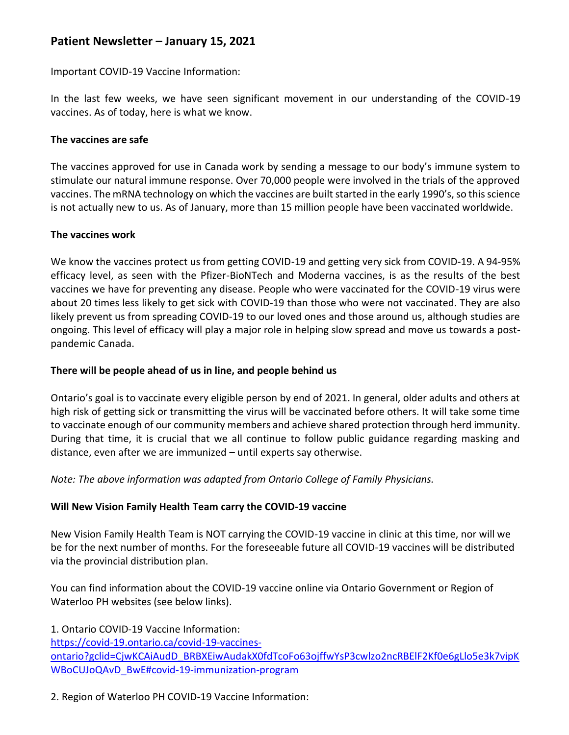# **Patient Newsletter – January 15, 2021**

Important COVID-19 Vaccine Information:

In the last few weeks, we have seen significant movement in our understanding of the COVID-19 vaccines. As of today, here is what we know.

# **The vaccines are safe**

The vaccines approved for use in Canada work by sending a message to our body's immune system to stimulate our natural immune response. Over 70,000 people were involved in the trials of the approved vaccines. The mRNA technology on which the vaccines are built started in the early 1990's, so this science is not actually new to us. As of January, more than 15 million people have been vaccinated worldwide.

### **The vaccines work**

We know the vaccines protect us from getting COVID-19 and getting very sick from COVID-19. A 94-95% efficacy level, as seen with the Pfizer-BioNTech and Moderna vaccines, is as the results of the best vaccines we have for preventing any disease. People who were vaccinated for the COVID-19 virus were about 20 times less likely to get sick with COVID-19 than those who were not vaccinated. They are also likely prevent us from spreading COVID-19 to our loved ones and those around us, although studies are ongoing. This level of efficacy will play a major role in helping slow spread and move us towards a postpandemic Canada.

# **There will be people ahead of us in line, and people behind us**

Ontario's goal is to vaccinate every eligible person by end of 2021. In general, older adults and others at high risk of getting sick or transmitting the virus will be vaccinated before others. It will take some time to vaccinate enough of our community members and achieve shared protection through herd immunity. During that time, it is crucial that we all continue to follow public guidance regarding masking and distance, even after we are immunized – until experts say otherwise.

*Note: The above information was adapted from Ontario College of Family Physicians.* 

# **Will New Vision Family Health Team carry the COVID-19 vaccine**

New Vision Family Health Team is NOT carrying the COVID-19 vaccine in clinic at this time, nor will we be for the next number of months. For the foreseeable future all COVID-19 vaccines will be distributed via the provincial distribution plan.

You can find information about the COVID-19 vaccine online via Ontario Government or Region of Waterloo PH websites (see below links).

1. Ontario COVID-19 Vaccine Information:

[https://covid-19.ontario.ca/covid-19-vaccines](https://covid-19.ontario.ca/covid-19-vaccines-ontario?gclid=CjwKCAiAudD_BRBXEiwAudakX0fdTcoFo63ojffwYsP3cwlzo2ncRBElF2Kf0e6gLlo5e3k7vipKWBoCUJoQAvD_BwE#covid-19-immunization-program)[ontario?gclid=CjwKCAiAudD\\_BRBXEiwAudakX0fdTcoFo63ojffwYsP3cwlzo2ncRBElF2Kf0e6gLlo5e3k7vipK](https://covid-19.ontario.ca/covid-19-vaccines-ontario?gclid=CjwKCAiAudD_BRBXEiwAudakX0fdTcoFo63ojffwYsP3cwlzo2ncRBElF2Kf0e6gLlo5e3k7vipKWBoCUJoQAvD_BwE#covid-19-immunization-program) [WBoCUJoQAvD\\_BwE#covid-19-immunization-program](https://covid-19.ontario.ca/covid-19-vaccines-ontario?gclid=CjwKCAiAudD_BRBXEiwAudakX0fdTcoFo63ojffwYsP3cwlzo2ncRBElF2Kf0e6gLlo5e3k7vipKWBoCUJoQAvD_BwE#covid-19-immunization-program)

2. Region of Waterloo PH COVID-19 Vaccine Information: